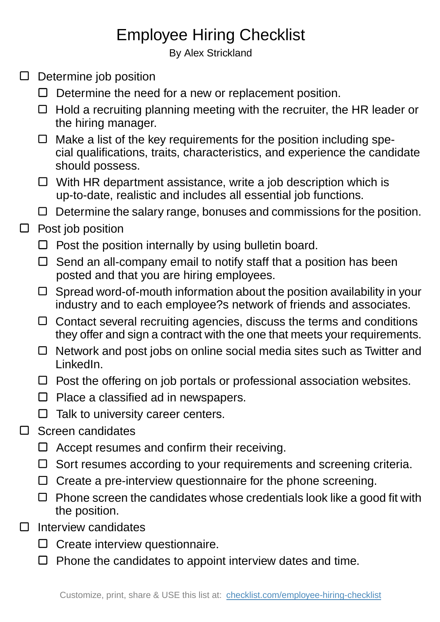## Employee Hiring Checklist

By Alex Strickland

- $\Box$  Determine job position
	- $\Box$  Determine the need for a new or replacement position.
	- $\Box$  Hold a recruiting planning meeting with the recruiter, the HR leader or the hiring manager.
	- $\Box$  Make a list of the key requirements for the position including special qualifications, traits, characteristics, and experience the candidate should possess.
	- $\Box$  With HR department assistance, write a job description which is up-to-date, realistic and includes all essential job functions.
	- $\Box$  Determine the salary range, bonuses and commissions for the position.
- $\Box$  Post job position
	- $\Box$  Post the position internally by using bulletin board.
	- $\Box$  Send an all-company email to notify staff that a position has been posted and that you are hiring employees.
	- $\Box$  Spread word-of-mouth information about the position availability in your industry and to each employee?s network of friends and associates.
	- $\Box$  Contact several recruiting agencies, discuss the terms and conditions they offer and sign a contract with the one that meets your requirements.
	- $\Box$  Network and post jobs on online social media sites such as Twitter and LinkedIn.
	- $\Box$  Post the offering on job portals or professional association websites.
	- $\Box$  Place a classified ad in newspapers.
	- $\Box$  Talk to university career centers.
- $\Box$ Screen candidates
	- $\Box$  Accept resumes and confirm their receiving.
	- $\Box$  Sort resumes according to your requirements and screening criteria.
	- $\Box$  Create a pre-interview questionnaire for the phone screening.
	- $\Box$  Phone screen the candidates whose credentials look like a good fit with the position.
- $\Box$ Interview candidates
	- $\Box$  Create interview questionnaire.
	- $\square$  Phone the candidates to appoint interview dates and time.